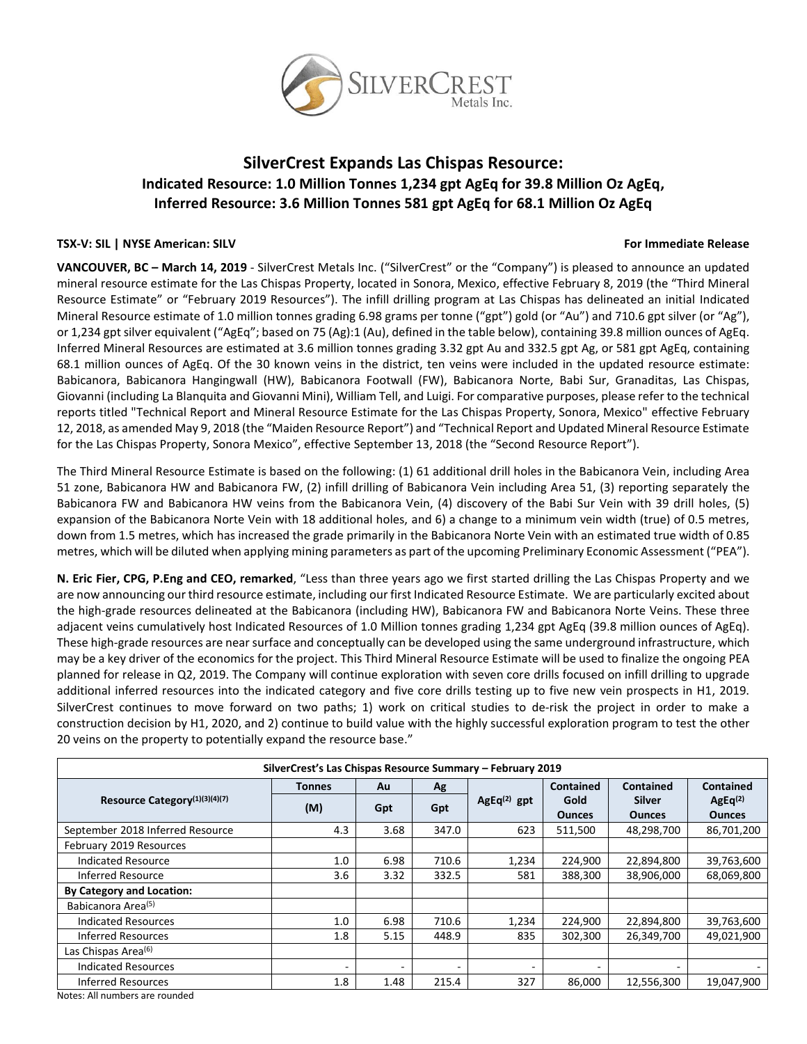

# **SilverCrest Expands Las Chispas Resource: Indicated Resource: 1.0 Million Tonnes 1,234 gpt AgEq for 39.8 Million Oz AgEq, Inferred Resource: 3.6 Million Tonnes 581 gpt AgEq for 68.1 Million Oz AgEq**

#### **TSX-V: SIL | NYSE American: SILV For Immediate Release**

**VANCOUVER, BC – March 14, 2019** - SilverCrest Metals Inc. ("SilverCrest" or the "Company") is pleased to announce an updated mineral resource estimate for the Las Chispas Property, located in Sonora, Mexico, effective February 8, 2019 (the "Third Mineral Resource Estimate" or "February 2019 Resources"). The infill drilling program at Las Chispas has delineated an initial Indicated Mineral Resource estimate of 1.0 million tonnes grading 6.98 grams per tonne ("gpt") gold (or "Au") and 710.6 gpt silver (or "Ag"), or 1,234 gpt silver equivalent ("AgEq"; based on 75 (Ag):1 (Au), defined in the table below), containing 39.8 million ounces of AgEq. Inferred Mineral Resources are estimated at 3.6 million tonnes grading 3.32 gpt Au and 332.5 gpt Ag, or 581 gpt AgEq, containing 68.1 million ounces of AgEq. Of the 30 known veins in the district, ten veins were included in the updated resource estimate: Babicanora, Babicanora Hangingwall (HW), Babicanora Footwall (FW), Babicanora Norte, Babi Sur, Granaditas, Las Chispas, Giovanni (including La Blanquita and Giovanni Mini), William Tell, and Luigi. For comparative purposes, please refer to the technical reports titled "Technical Report and Mineral Resource Estimate for the Las Chispas Property, Sonora, Mexico" effective February 12, 2018, as amended May 9, 2018 (the "Maiden Resource Report") and "Technical Report and Updated Mineral Resource Estimate for the Las Chispas Property, Sonora Mexico", effective September 13, 2018 (the "Second Resource Report").

The Third Mineral Resource Estimate is based on the following: (1) 61 additional drill holes in the Babicanora Vein, including Area 51 zone, Babicanora HW and Babicanora FW, (2) infill drilling of Babicanora Vein including Area 51, (3) reporting separately the Babicanora FW and Babicanora HW veins from the Babicanora Vein, (4) discovery of the Babi Sur Vein with 39 drill holes, (5) expansion of the Babicanora Norte Vein with 18 additional holes, and 6) a change to a minimum vein width (true) of 0.5 metres, down from 1.5 metres, which has increased the grade primarily in the Babicanora Norte Vein with an estimated true width of 0.85 metres, which will be diluted when applying mining parameters as part of the upcoming Preliminary Economic Assessment ("PEA").

**N. Eric Fier, CPG, P.Eng and CEO, remarked**, "Less than three years ago we first started drilling the Las Chispas Property and we are now announcing our third resource estimate, including our first Indicated Resource Estimate. We are particularly excited about the high-grade resources delineated at the Babicanora (including HW), Babicanora FW and Babicanora Norte Veins. These three adjacent veins cumulatively host Indicated Resources of 1.0 Million tonnes grading 1,234 gpt AgEq (39.8 million ounces of AgEq). These high-grade resources are near surface and conceptually can be developed using the same underground infrastructure, which may be a key driver of the economics for the project. This Third Mineral Resource Estimate will be used to finalize the ongoing PEA planned for release in Q2, 2019. The Company will continue exploration with seven core drills focused on infill drilling to upgrade additional inferred resources into the indicated category and five core drills testing up to five new vein prospects in H1, 2019. SilverCrest continues to move forward on two paths; 1) work on critical studies to de-risk the project in order to make a construction decision by H1, 2020, and 2) continue to build value with the highly successful exploration program to test the other 20 veins on the property to potentially expand the resource base."

| SilverCrest's Las Chispas Resource Summary - February 2019 |                          |      |       |               |                  |               |                     |
|------------------------------------------------------------|--------------------------|------|-------|---------------|------------------|---------------|---------------------|
| Resource Category <sup>(1)(3)(4)(7)</sup>                  | Tonnes                   | Au   | Ag    | $AgEq(2)$ gpt | <b>Contained</b> | Contained     | <b>Contained</b>    |
|                                                            | (M)                      | Gpt  | Gpt   |               | Gold             | <b>Silver</b> | AgEq <sup>(2)</sup> |
|                                                            |                          |      |       |               | <b>Ounces</b>    | <b>Ounces</b> | <b>Ounces</b>       |
| September 2018 Inferred Resource                           | 4.3                      | 3.68 | 347.0 | 623           | 511,500          | 48,298,700    | 86,701,200          |
| February 2019 Resources                                    |                          |      |       |               |                  |               |                     |
| <b>Indicated Resource</b>                                  | 1.0                      | 6.98 | 710.6 | 1,234         | 224,900          | 22,894,800    | 39,763,600          |
| Inferred Resource                                          | 3.6                      | 3.32 | 332.5 | 581           | 388,300          | 38,906,000    | 68,069,800          |
| <b>By Category and Location:</b>                           |                          |      |       |               |                  |               |                     |
| Babicanora Area <sup>(5)</sup>                             |                          |      |       |               |                  |               |                     |
| <b>Indicated Resources</b>                                 | 1.0                      | 6.98 | 710.6 | 1,234         | 224,900          | 22,894,800    | 39,763,600          |
| Inferred Resources                                         | 1.8                      | 5.15 | 448.9 | 835           | 302,300          | 26,349,700    | 49,021,900          |
| Las Chispas Area <sup>(6)</sup>                            |                          |      |       |               |                  |               |                     |
| <b>Indicated Resources</b>                                 | $\overline{\phantom{0}}$ | ٠    | ٠     | ۰.            |                  | -             |                     |
| <b>Inferred Resources</b>                                  | 1.8                      | 1.48 | 215.4 | 327           | 86.000           | 12,556,300    | 19,047,900          |

Notes: All numbers are rounded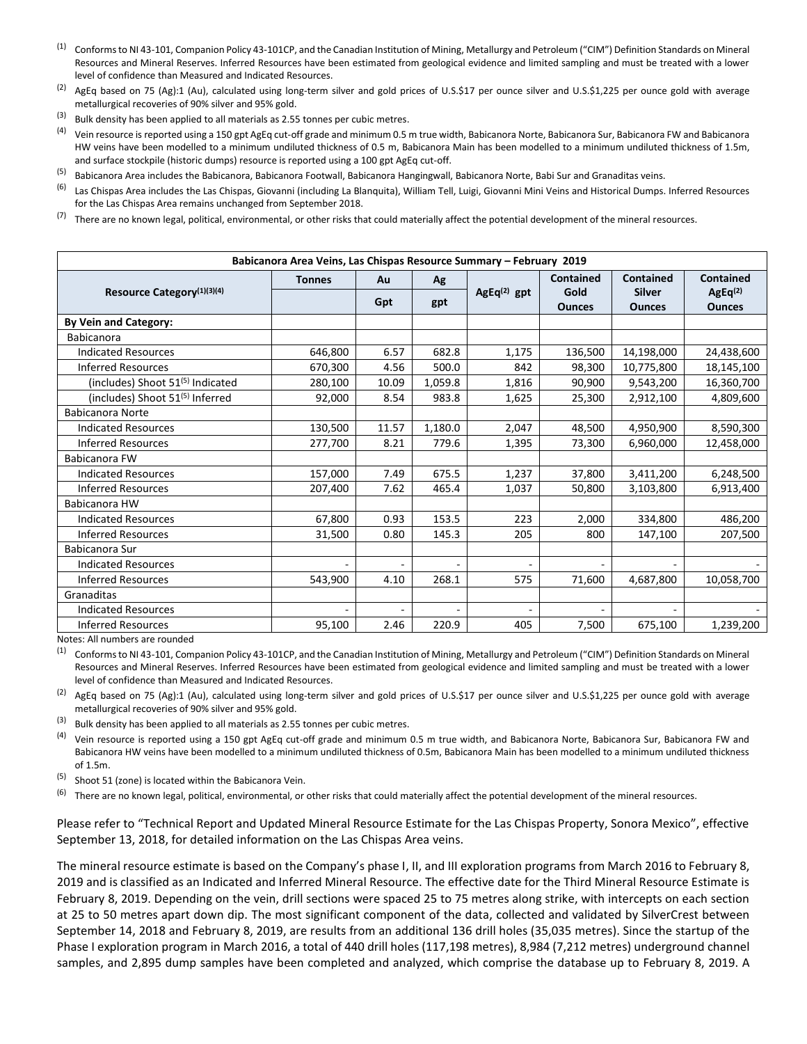- <sup>(1)</sup> Conforms to NI 43-101, Companion Policy 43-101CP, and the Canadian Institution of Mining, Metallurgy and Petroleum ("CIM") Definition Standards on Mineral Resources and Mineral Reserves. Inferred Resources have been estimated from geological evidence and limited sampling and must be treated with a lower level of confidence than Measured and Indicated Resources.
- $^{(2)}$  AgEq based on 75 (Ag):1 (Au), calculated using long-term silver and gold prices of U.S.\$17 per ounce silver and U.S.\$1,225 per ounce gold with average metallurgical recoveries of 90% silver and 95% gold.
- $(3)$  Bulk density has been applied to all materials as 2.55 tonnes per cubic metres.
- <sup>(4)</sup> Vein resource is reported using a 150 gpt AgEq cut-off grade and minimum 0.5 m true width, Babicanora Norte, Babicanora Sur, Babicanora FW and Babicanora HW veins have been modelled to a minimum undiluted thickness of 0.5 m, Babicanora Main has been modelled to a minimum undiluted thickness of 1.5m, and surface stockpile (historic dumps) resource is reported using a 100 gpt AgEq cut-off.
- <sup>(5)</sup> Babicanora Area includes the Babicanora, Babicanora Footwall, Babicanora Hangingwall, Babicanora Norte, Babi Sur and Granaditas veins.
- <sup>(6)</sup> Las Chispas Area includes the Las Chispas, Giovanni (including La Blanquita), William Tell, Luigi, Giovanni Mini Veins and Historical Dumps. Inferred Resources for the Las Chispas Area remains unchanged from September 2018.
- $(7)$  There are no known legal, political, environmental, or other risks that could materially affect the potential development of the mineral resources.

| Babicanora Area Veins, Las Chispas Resource Summary - February 2019 |               |                          |                          |               |                  |                  |                     |
|---------------------------------------------------------------------|---------------|--------------------------|--------------------------|---------------|------------------|------------------|---------------------|
| Resource Category <sup>(1)(3)(4)</sup>                              | <b>Tonnes</b> | Au                       | Ag                       | $AgEq(2)$ gpt | <b>Contained</b> | <b>Contained</b> | <b>Contained</b>    |
|                                                                     |               | Gpt                      | gpt                      |               | Gold             | <b>Silver</b>    | AgEq <sup>(2)</sup> |
|                                                                     |               |                          |                          |               | <b>Ounces</b>    | <b>Ounces</b>    | <b>Ounces</b>       |
| <b>By Vein and Category:</b>                                        |               |                          |                          |               |                  |                  |                     |
| <b>Babicanora</b>                                                   |               |                          |                          |               |                  |                  |                     |
| <b>Indicated Resources</b>                                          | 646,800       | 6.57                     | 682.8                    | 1,175         | 136,500          | 14,198,000       | 24,438,600          |
| <b>Inferred Resources</b>                                           | 670,300       | 4.56                     | 500.0                    | 842           | 98,300           | 10,775,800       | 18,145,100          |
| (includes) Shoot 51(5) Indicated                                    | 280,100       | 10.09                    | 1,059.8                  | 1,816         | 90,900           | 9,543,200        | 16,360,700          |
| (includes) Shoot 51 <sup>(5)</sup> Inferred                         | 92,000        | 8.54                     | 983.8                    | 1,625         | 25,300           | 2,912,100        | 4,809,600           |
| <b>Babicanora Norte</b>                                             |               |                          |                          |               |                  |                  |                     |
| <b>Indicated Resources</b>                                          | 130,500       | 11.57                    | 1,180.0                  | 2,047         | 48,500           | 4,950,900        | 8,590,300           |
| <b>Inferred Resources</b>                                           | 277,700       | 8.21                     | 779.6                    | 1,395         | 73,300           | 6,960,000        | 12,458,000          |
| <b>Babicanora FW</b>                                                |               |                          |                          |               |                  |                  |                     |
| <b>Indicated Resources</b>                                          | 157,000       | 7.49                     | 675.5                    | 1,237         | 37,800           | 3,411,200        | 6,248,500           |
| <b>Inferred Resources</b>                                           | 207,400       | 7.62                     | 465.4                    | 1,037         | 50,800           | 3,103,800        | 6,913,400           |
| Babicanora HW                                                       |               |                          |                          |               |                  |                  |                     |
| <b>Indicated Resources</b>                                          | 67,800        | 0.93                     | 153.5                    | 223           | 2,000            | 334,800          | 486,200             |
| <b>Inferred Resources</b>                                           | 31,500        | 0.80                     | 145.3                    | 205           | 800              | 147,100          | 207,500             |
| Babicanora Sur                                                      |               |                          |                          |               |                  |                  |                     |
| <b>Indicated Resources</b>                                          |               | $\overline{\phantom{a}}$ | ÷.                       |               |                  |                  |                     |
| <b>Inferred Resources</b>                                           | 543,900       | 4.10                     | 268.1                    | 575           | 71,600           | 4,687,800        | 10,058,700          |
| Granaditas                                                          |               |                          |                          |               |                  |                  |                     |
| <b>Indicated Resources</b>                                          |               | $\overline{\phantom{a}}$ | $\overline{\phantom{a}}$ |               | ٠                |                  |                     |
| <b>Inferred Resources</b>                                           | 95,100        | 2.46                     | 220.9                    | 405           | 7,500            | 675,100          | 1,239,200           |

Notes: All numbers are rounded

<sup>(1)</sup> Conforms to NI 43-101, Companion Policy 43-101CP, and the Canadian Institution of Mining, Metallurgy and Petroleum ("CIM") Definition Standards on Mineral Resources and Mineral Reserves. Inferred Resources have been estimated from geological evidence and limited sampling and must be treated with a lower level of confidence than Measured and Indicated Resources.

 $^{(2)}$  AgEq based on 75 (Ag):1 (Au), calculated using long-term silver and gold prices of U.S.\$17 per ounce silver and U.S.\$1,225 per ounce gold with average metallurgical recoveries of 90% silver and 95% gold.

- $(3)$  Bulk density has been applied to all materials as 2.55 tonnes per cubic metres.
- $(4)$  Vein resource is reported using a 150 gpt AgEq cut-off grade and minimum 0.5 m true width, and Babicanora Norte, Babicanora Sur, Babicanora FW and Babicanora HW veins have been modelled to a minimum undiluted thickness of 0.5m, Babicanora Main has been modelled to a minimum undiluted thickness of 1.5m.
- (5) Shoot 51 (zone) is located within the Babicanora Vein.
- <sup>(6)</sup> There are no known legal, political, environmental, or other risks that could materially affect the potential development of the mineral resources.

Please refer to "Technical Report and Updated Mineral Resource Estimate for the Las Chispas Property, Sonora Mexico", effective September 13, 2018, for detailed information on the Las Chispas Area veins.

The mineral resource estimate is based on the Company's phase I, II, and III exploration programs from March 2016 to February 8, 2019 and is classified as an Indicated and Inferred Mineral Resource. The effective date for the Third Mineral Resource Estimate is February 8, 2019. Depending on the vein, drill sections were spaced 25 to 75 metres along strike, with intercepts on each section at 25 to 50 metres apart down dip. The most significant component of the data, collected and validated by SilverCrest between September 14, 2018 and February 8, 2019, are results from an additional 136 drill holes (35,035 metres). Since the startup of the Phase I exploration program in March 2016, a total of 440 drill holes (117,198 metres), 8,984 (7,212 metres) underground channel samples, and 2,895 dump samples have been completed and analyzed, which comprise the database up to February 8, 2019. A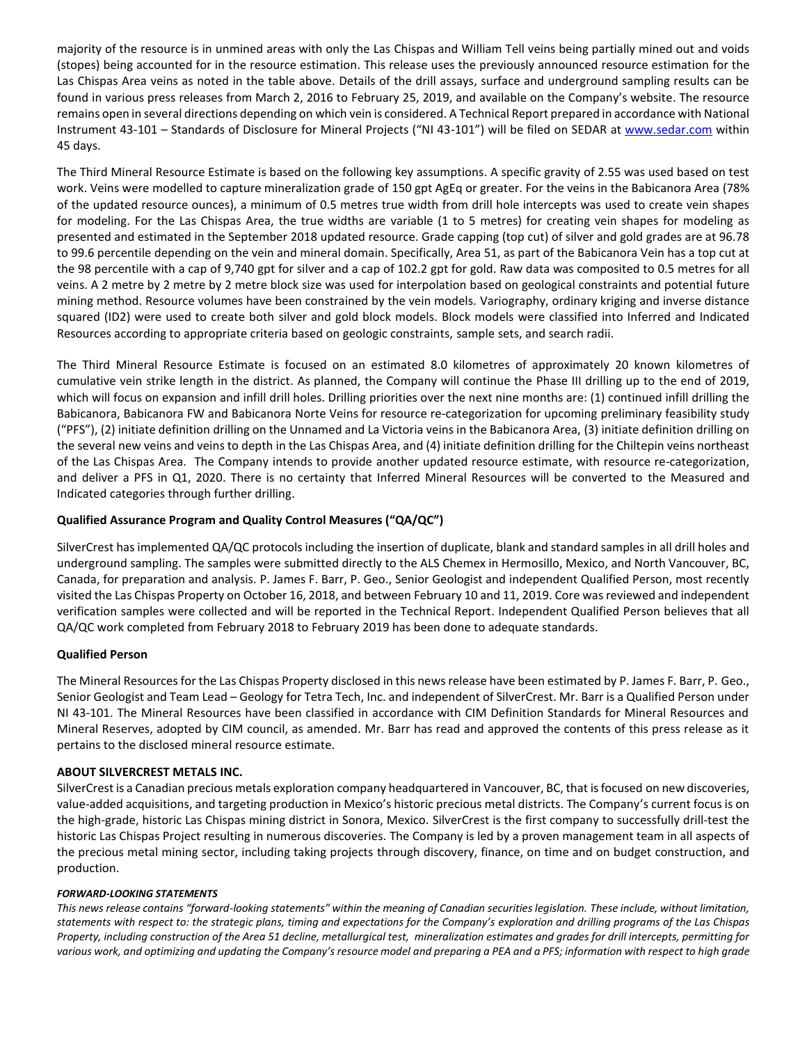majority of the resource is in unmined areas with only the Las Chispas and William Tell veins being partially mined out and voids (stopes) being accounted for in the resource estimation. This release uses the previously announced resource estimation for the Las Chispas Area veins as noted in the table above. Details of the drill assays, surface and underground sampling results can be found in various press releases from March 2, 2016 to February 25, 2019, and available on the Company's website. The resource remains open in several directions depending on which vein is considered. A Technical Report prepared in accordance with National Instrument 43-101 – Standards of Disclosure for Mineral Projects ("NI 43-101") will be filed on SEDAR at [www.sedar.com](http://www.sedar.com/) within 45 days.

The Third Mineral Resource Estimate is based on the following key assumptions. A specific gravity of 2.55 was used based on test work. Veins were modelled to capture mineralization grade of 150 gpt AgEq or greater. For the veins in the Babicanora Area (78% of the updated resource ounces), a minimum of 0.5 metres true width from drill hole intercepts was used to create vein shapes for modeling. For the Las Chispas Area, the true widths are variable (1 to 5 metres) for creating vein shapes for modeling as presented and estimated in the September 2018 updated resource. Grade capping (top cut) of silver and gold grades are at 96.78 to 99.6 percentile depending on the vein and mineral domain. Specifically, Area 51, as part of the Babicanora Vein has a top cut at the 98 percentile with a cap of 9,740 gpt for silver and a cap of 102.2 gpt for gold. Raw data was composited to 0.5 metres for all veins. A 2 metre by 2 metre by 2 metre block size was used for interpolation based on geological constraints and potential future mining method. Resource volumes have been constrained by the vein models. Variography, ordinary kriging and inverse distance squared (ID2) were used to create both silver and gold block models. Block models were classified into Inferred and Indicated Resources according to appropriate criteria based on geologic constraints, sample sets, and search radii.

The Third Mineral Resource Estimate is focused on an estimated 8.0 kilometres of approximately 20 known kilometres of cumulative vein strike length in the district. As planned, the Company will continue the Phase III drilling up to the end of 2019, which will focus on expansion and infill drill holes. Drilling priorities over the next nine months are: (1) continued infill drilling the Babicanora, Babicanora FW and Babicanora Norte Veins for resource re-categorization for upcoming preliminary feasibility study ("PFS"), (2) initiate definition drilling on the Unnamed and La Victoria veins in the Babicanora Area, (3) initiate definition drilling on the several new veins and veins to depth in the Las Chispas Area, and (4) initiate definition drilling for the Chiltepin veins northeast of the Las Chispas Area. The Company intends to provide another updated resource estimate, with resource re-categorization, and deliver a PFS in Q1, 2020. There is no certainty that Inferred Mineral Resources will be converted to the Measured and Indicated categories through further drilling.

# **Qualified Assurance Program and Quality Control Measures ("QA/QC")**

SilverCrest has implemented QA/QC protocols including the insertion of duplicate, blank and standard samples in all drill holes and underground sampling. The samples were submitted directly to the ALS Chemex in Hermosillo, Mexico, and North Vancouver, BC, Canada, for preparation and analysis. P. James F. Barr, P. Geo., Senior Geologist and independent Qualified Person, most recently visited the Las Chispas Property on October 16, 2018, and between February 10 and 11, 2019. Core was reviewed and independent verification samples were collected and will be reported in the Technical Report. Independent Qualified Person believes that all QA/QC work completed from February 2018 to February 2019 has been done to adequate standards.

## **Qualified Person**

The Mineral Resources for the Las Chispas Property disclosed in this news release have been estimated by P. James F. Barr, P. Geo., Senior Geologist and Team Lead – Geology for Tetra Tech, Inc. and independent of SilverCrest. Mr. Barr is a Qualified Person under NI 43-101. The Mineral Resources have been classified in accordance with CIM Definition Standards for Mineral Resources and Mineral Reserves, adopted by CIM council, as amended. Mr. Barr has read and approved the contents of this press release as it pertains to the disclosed mineral resource estimate.

## **ABOUT SILVERCREST METALS INC.**

SilverCrest is a Canadian precious metals exploration company headquartered in Vancouver, BC, that is focused on new discoveries, value-added acquisitions, and targeting production in Mexico's historic precious metal districts. The Company's current focus is on the high-grade, historic Las Chispas mining district in Sonora, Mexico. SilverCrest is the first company to successfully drill-test the historic Las Chispas Project resulting in numerous discoveries. The Company is led by a proven management team in all aspects of the precious metal mining sector, including taking projects through discovery, finance, on time and on budget construction, and production.

#### *FORWARD-LOOKING STATEMENTS*

*This news release contains "forward-looking statements" within the meaning of Canadian securities legislation. These include, without limitation,*  statements with respect to: the strategic plans, timing and expectations for the Company's exploration and drilling programs of the Las Chispas *Property, including construction of the Area 51 decline, metallurgical test, mineralization estimates and grades for drill intercepts, permitting for*  various work, and optimizing and updating the Company's resource model and preparing a PEA and a PFS; information with respect to high grade